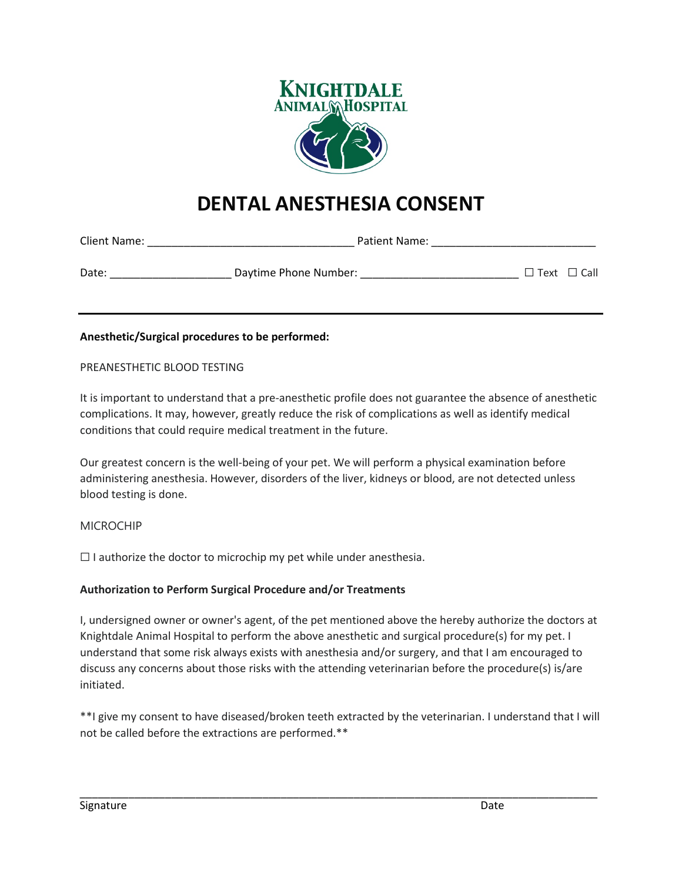

# **DENTAL ANESTHESIA CONSENT**

| Client Name: | <b>Patient Name:</b>  |                         |  |
|--------------|-----------------------|-------------------------|--|
| Date:        | Daytime Phone Number: | $\Box$ Text $\Box$ Call |  |

## **Anesthetic/Surgical procedures to be performed:**

PREANESTHETIC BLOOD TESTING

It is important to understand that a pre-anesthetic profile does not guarantee the absence of anesthetic complications. It may, however, greatly reduce the risk of complications as well as identify medical conditions that could require medical treatment in the future.

Our greatest concern is the well-being of your pet. We will perform a physical examination before administering anesthesia. However, disorders of the liver, kidneys or blood, are not detected unless blood testing is done.

### MICROCHIP

 $\Box$  I authorize the doctor to microchip my pet while under anesthesia.

### **Authorization to Perform Surgical Procedure and/or Treatments**

I, undersigned owner or owner's agent, of the pet mentioned above the hereby authorize the doctors at Knightdale Animal Hospital to perform the above anesthetic and surgical procedure(s) for my pet. I understand that some risk always exists with anesthesia and/or surgery, and that I am encouraged to discuss any concerns about those risks with the attending veterinarian before the procedure(s) is/are initiated.

\*\*I give my consent to have diseased/broken teeth extracted by the veterinarian. I understand that I will not be called before the extractions are performed.\*\*

\_\_\_\_\_\_\_\_\_\_\_\_\_\_\_\_\_\_\_\_\_\_\_\_\_\_\_\_\_\_\_\_\_\_\_\_\_\_\_\_\_\_\_\_\_\_\_\_\_\_\_\_\_\_\_\_\_\_\_\_\_\_\_\_\_\_\_\_\_\_\_\_\_\_\_\_\_\_\_\_\_\_\_\_\_